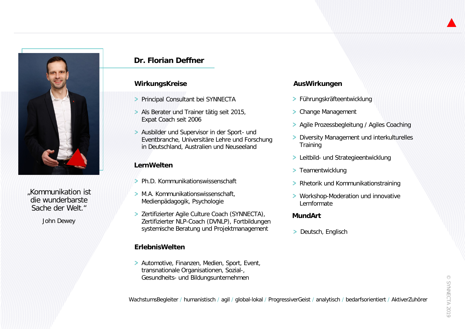

"Kommunikation ist die wunderbarste Sache der Welt."

John Dewey

# **Dr. Florian Deffner**

### **WirkungsKreise**

- > Principal Consultant bei SYNNECTA
- Als Berater und Trainer tätig seit 2015, Expat Coach seit 2006
- Ausbilder und Supervisor in der Sport- und Eventbranche, Universitäre Lehre und Forschung in Deutschland, Australien und Neuseeland

### **LernWelten**

- Ph.D. Kommunikationswissenschaft
- > M.A. Kommunikationswissenschaft, Medienpädagogik, Psychologie
- > Zertifizierter Agile Culture Coach (SYNNECTA), Zertifizierter NLP-Coach (DVNLP), Fortbildungen systemische Beratung und Projektmanagement

# **ErlebnisWelten**

> Automotive, Finanzen, Medien, Sport, Event, transnationale Organisationen, Sozial-, Gesundheits- und Bildungsunternehmen

### **AusWirkungen**

- Führungskräfteentwicklung
- > Change Management
- > Agile Prozessbegleitung / Agiles Coaching
- **> Diversity Management und interkulturelles Training**
- > Leitbild- und Strategieentwicklung
- > Teamentwicklung
- > Rhetorik und Kommunikationstraining
- > Workshop-Moderation und innovative Lernformate

### **MundArt**

> Deutsch, Englisch

WachstumsBegleiter / humanistisch / agil / global-lokal / ProgressiverGeist / analytisch / bedarfsorientiert / AktiverZuhörer